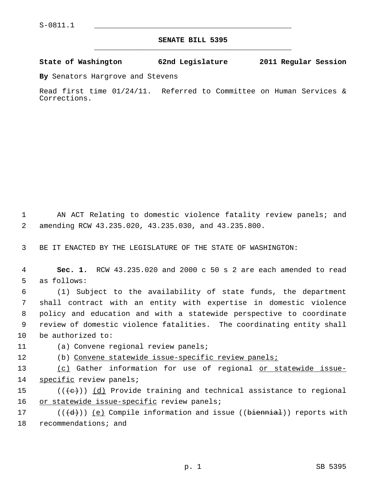## **SENATE BILL 5395** \_\_\_\_\_\_\_\_\_\_\_\_\_\_\_\_\_\_\_\_\_\_\_\_\_\_\_\_\_\_\_\_\_\_\_\_\_\_\_\_\_\_\_\_\_

## **State of Washington 62nd Legislature 2011 Regular Session**

**By** Senators Hargrove and Stevens

Read first time 01/24/11. Referred to Committee on Human Services & Corrections.

 1 AN ACT Relating to domestic violence fatality review panels; and 2 amending RCW 43.235.020, 43.235.030, and 43.235.800.

3 BE IT ENACTED BY THE LEGISLATURE OF THE STATE OF WASHINGTON:

 4 **Sec. 1.** RCW 43.235.020 and 2000 c 50 s 2 are each amended to read 5 as follows:

 6 (1) Subject to the availability of state funds, the department 7 shall contract with an entity with expertise in domestic violence 8 policy and education and with a statewide perspective to coordinate 9 review of domestic violence fatalities. The coordinating entity shall 10 be authorized to:

11 (a) Convene regional review panels;

12 (b) Convene statewide issue-specific review panels;

13 (c) Gather information for use of regional or statewide issue-14 specific review panels;

15 ( $(\langle e \rangle)$ ) (d) Provide training and technical assistance to regional 16 or statewide issue-specific review panels;

17 ( $(\{\d{d}\})$ ) <u>(e)</u> Compile information and issue ((biennial)) reports with 18 recommendations; and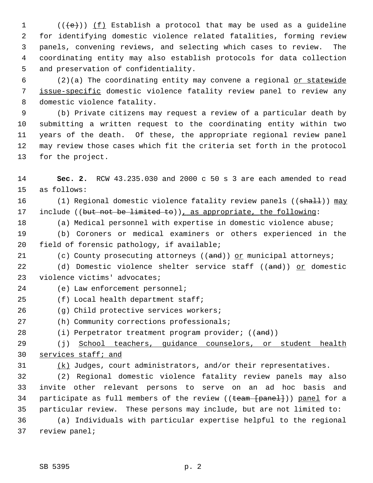1  $((\{e\}))(f)$  Establish a protocol that may be used as a guideline 2 for identifying domestic violence related fatalities, forming review 3 panels, convening reviews, and selecting which cases to review. The 4 coordinating entity may also establish protocols for data collection 5 and preservation of confidentiality.

 6 (2)(a) The coordinating entity may convene a regional or statewide 7 issue-specific domestic violence fatality review panel to review any 8 domestic violence fatality.

 9 (b) Private citizens may request a review of a particular death by 10 submitting a written request to the coordinating entity within two 11 years of the death. Of these, the appropriate regional review panel 12 may review those cases which fit the criteria set forth in the protocol 13 for the project.

14 **Sec. 2.** RCW 43.235.030 and 2000 c 50 s 3 are each amended to read 15 as follows:

16 (1) Regional domestic violence fatality review panels ((shall)) may 17 include ((but not be limited to)), as appropriate, the following:

18 (a) Medical personnel with expertise in domestic violence abuse;

19 (b) Coroners or medical examiners or others experienced in the 20 field of forensic pathology, if available;

21 (c) County prosecuting attorneys ((and)) or municipal attorneys;

22 (d) Domestic violence shelter service staff ((and)) or domestic 23 violence victims' advocates;

24 (e) Law enforcement personnel;

25 (f) Local health department staff;

- 26 (g) Child protective services workers;
- 27 (h) Community corrections professionals;
- 28 (i) Perpetrator treatment program provider; ((and))

29 (j) School teachers, guidance counselors, or student health 30 services staff; and

 $31$  (k) Judges, court administrators, and/or their representatives.

32 (2) Regional domestic violence fatality review panels may also 33 invite other relevant persons to serve on an ad hoc basis and 34 participate as full members of the review ((team [panel])) panel for a 35 particular review. These persons may include, but are not limited to: 36 (a) Individuals with particular expertise helpful to the regional 37 review panel;